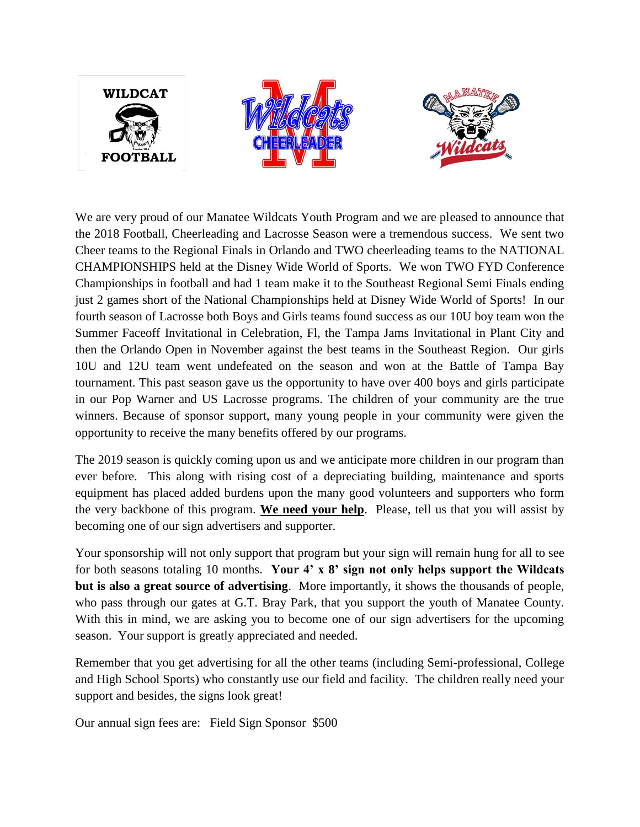

We are very proud of our Manatee Wildcats Youth Program and we are pleased to announce that the 2018 Football, Cheerleading and Lacrosse Season were a tremendous success. We sent two Cheer teams to the Regional Finals in Orlando and TWO cheerleading teams to the NATIONAL CHAMPIONSHIPS held at the Disney Wide World of Sports. We won TWO FYD Conference Championships in football and had 1 team make it to the Southeast Regional Semi Finals ending just 2 games short of the National Championships held at Disney Wide World of Sports! In our fourth season of Lacrosse both Boys and Girls teams found success as our 10U boy team won the Summer Faceoff Invitational in Celebration, Fl, the Tampa Jams Invitational in Plant City and then the Orlando Open in November against the best teams in the Southeast Region. Our girls 10U and 12U team went undefeated on the season and won at the Battle of Tampa Bay tournament. This past season gave us the opportunity to have over 400 boys and girls participate in our Pop Warner and US Lacrosse programs. The children of your community are the true winners. Because of sponsor support, many young people in your community were given the opportunity to receive the many benefits offered by our programs.

The 2019 season is quickly coming upon us and we anticipate more children in our program than ever before. This along with rising cost of a depreciating building, maintenance and sports equipment has placed added burdens upon the many good volunteers and supporters who form the very backbone of this program. **We need your help**. Please, tell us that you will assist by becoming one of our sign advertisers and supporter.

Your sponsorship will not only support that program but your sign will remain hung for all to see for both seasons totaling 10 months. **Your 4' x 8' sign not only helps support the Wildcats but is also a great source of advertising**. More importantly, it shows the thousands of people, who pass through our gates at G.T. Bray Park, that you support the youth of Manatee County. With this in mind, we are asking you to become one of our sign advertisers for the upcoming season. Your support is greatly appreciated and needed.

Remember that you get advertising for all the other teams (including Semi-professional, College and High School Sports) who constantly use our field and facility. The children really need your support and besides, the signs look great!

Our annual sign fees are: Field Sign Sponsor \$500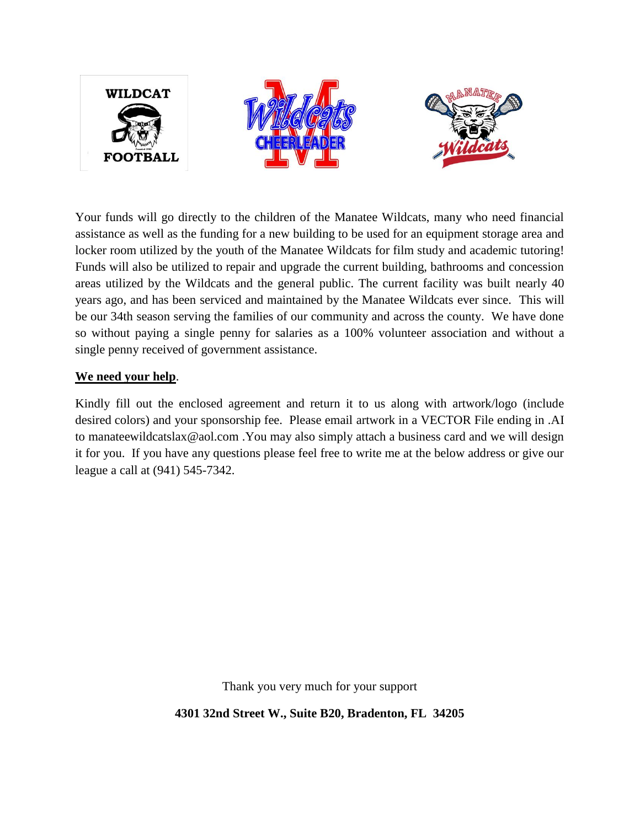

Your funds will go directly to the children of the Manatee Wildcats, many who need financial assistance as well as the funding for a new building to be used for an equipment storage area and locker room utilized by the youth of the Manatee Wildcats for film study and academic tutoring! Funds will also be utilized to repair and upgrade the current building, bathrooms and concession areas utilized by the Wildcats and the general public. The current facility was built nearly 40 years ago, and has been serviced and maintained by the Manatee Wildcats ever since. This will be our 34th season serving the families of our community and across the county. We have done so without paying a single penny for salaries as a 100% volunteer association and without a single penny received of government assistance.

## **We need your help**.

Kindly fill out the enclosed agreement and return it to us along with artwork/logo (include desired colors) and your sponsorship fee. Please email artwork in a VECTOR File ending in .AI to manateewildcatslax@aol.com .You may also simply attach a business card and we will design it for you. If you have any questions please feel free to write me at the below address or give our league a call at (941) 545-7342.

Thank you very much for your support

**4301 32nd Street W., Suite B20, Bradenton, FL 34205**